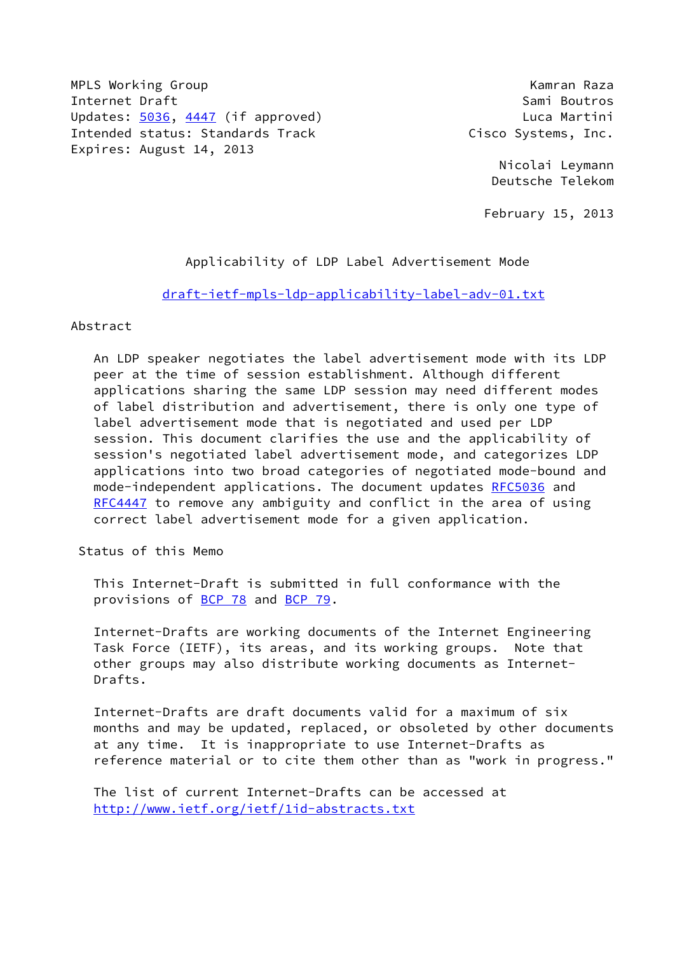MPLS Working Group **Kamran Raza** Internet Draft Sami Boutros (Sami Boutros New York) Updates: [5036](https://datatracker.ietf.org/doc/pdf/rfc5036), [4447](https://datatracker.ietf.org/doc/pdf/rfc4447) (if approved) Updates: 5036, 4447 (if approved) Intended status: Standards Track Cisco Systems, Inc. Expires: August 14, 2013

 Nicolai Leymann Deutsche Telekom

February 15, 2013

Applicability of LDP Label Advertisement Mode

[draft-ietf-mpls-ldp-applicability-label-adv-01.txt](https://datatracker.ietf.org/doc/pdf/draft-ietf-mpls-ldp-applicability-label-adv-01.txt)

## Abstract

 An LDP speaker negotiates the label advertisement mode with its LDP peer at the time of session establishment. Although different applications sharing the same LDP session may need different modes of label distribution and advertisement, there is only one type of label advertisement mode that is negotiated and used per LDP session. This document clarifies the use and the applicability of session's negotiated label advertisement mode, and categorizes LDP applications into two broad categories of negotiated mode-bound and mode-independent applications. The document updates [RFC5036](https://datatracker.ietf.org/doc/pdf/rfc5036) and [RFC4447](https://datatracker.ietf.org/doc/pdf/rfc4447) to remove any ambiguity and conflict in the area of using correct label advertisement mode for a given application.

Status of this Memo

 This Internet-Draft is submitted in full conformance with the provisions of [BCP 78](https://datatracker.ietf.org/doc/pdf/bcp78) and [BCP 79](https://datatracker.ietf.org/doc/pdf/bcp79).

 Internet-Drafts are working documents of the Internet Engineering Task Force (IETF), its areas, and its working groups. Note that other groups may also distribute working documents as Internet- Drafts.

 Internet-Drafts are draft documents valid for a maximum of six months and may be updated, replaced, or obsoleted by other documents at any time. It is inappropriate to use Internet-Drafts as reference material or to cite them other than as "work in progress."

 The list of current Internet-Drafts can be accessed at <http://www.ietf.org/ietf/1id-abstracts.txt>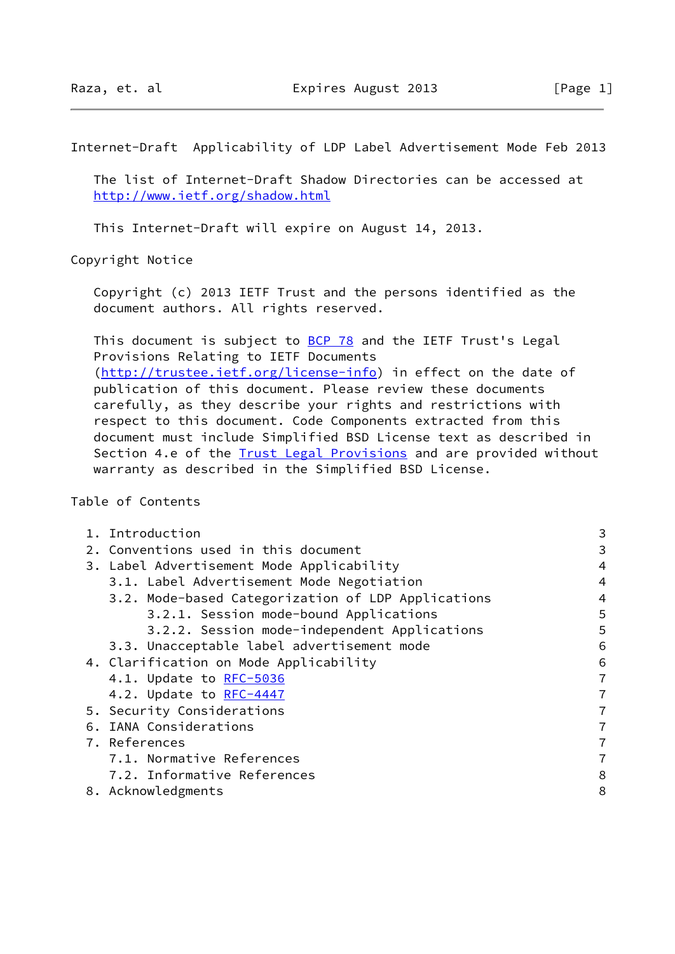Internet-Draft Applicability of LDP Label Advertisement Mode Feb 2013

 The list of Internet-Draft Shadow Directories can be accessed at <http://www.ietf.org/shadow.html>

This Internet-Draft will expire on August 14, 2013.

Copyright Notice

 Copyright (c) 2013 IETF Trust and the persons identified as the document authors. All rights reserved.

This document is subject to **[BCP 78](https://datatracker.ietf.org/doc/pdf/bcp78)** and the IETF Trust's Legal Provisions Relating to IETF Documents [\(http://trustee.ietf.org/license-info](http://trustee.ietf.org/license-info)) in effect on the date of publication of this document. Please review these documents carefully, as they describe your rights and restrictions with respect to this document. Code Components extracted from this document must include Simplified BSD License text as described in Section 4.e of the **[Trust Legal Provisions](https://trustee.ietf.org/license-info)** and are provided without warranty as described in the Simplified BSD License.

Table of Contents

| 1. Introduction                                    | 3 |
|----------------------------------------------------|---|
| 2. Conventions used in this document               | 3 |
| 3. Label Advertisement Mode Applicability          | 4 |
| 3.1. Label Advertisement Mode Negotiation          | 4 |
| 3.2. Mode-based Categorization of LDP Applications | 4 |
| 3.2.1. Session mode-bound Applications             | 5 |
| 3.2.2. Session mode-independent Applications       | 5 |
| 3.3. Unacceptable label advertisement mode         | 6 |
| 4. Clarification on Mode Applicability             | 6 |
| 4.1. Update to RFC-5036                            | 7 |
| 4.2. Update to RFC-4447                            | 7 |
| 5. Security Considerations                         | 7 |
| 6. IANA Considerations                             | 7 |
| 7. References                                      | 7 |
| 7.1. Normative References                          | 7 |
| 7.2. Informative References                        | 8 |
| 8. Acknowledgments                                 | 8 |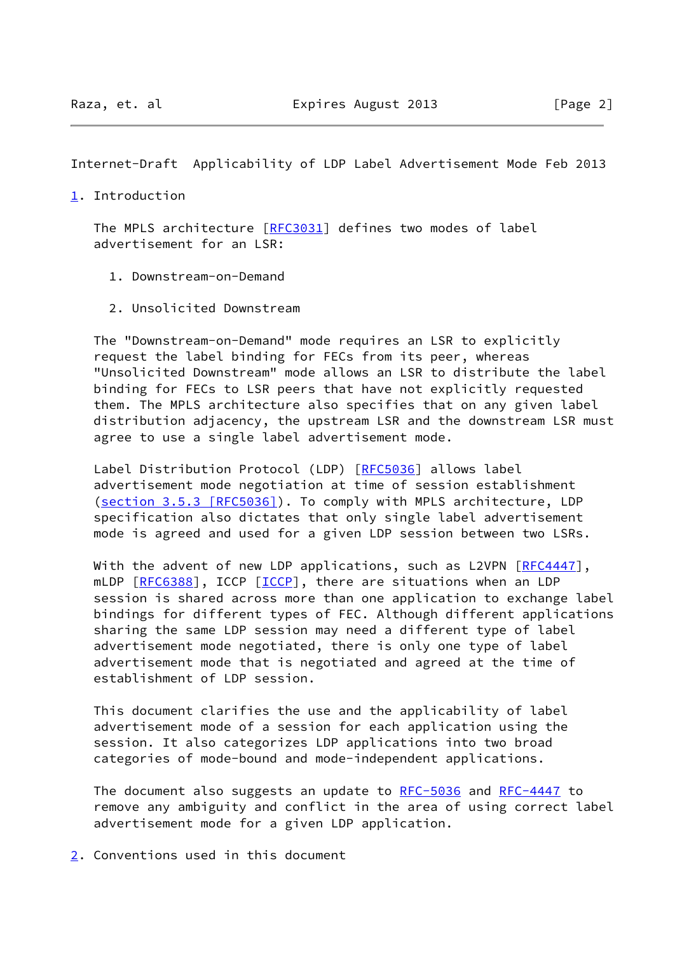Internet-Draft Applicability of LDP Label Advertisement Mode Feb 2013

## <span id="page-2-0"></span>[1](#page-2-0). Introduction

 The MPLS architecture [[RFC3031](https://datatracker.ietf.org/doc/pdf/rfc3031)] defines two modes of label advertisement for an LSR:

- 1. Downstream-on-Demand
- 2. Unsolicited Downstream

 The "Downstream-on-Demand" mode requires an LSR to explicitly request the label binding for FECs from its peer, whereas "Unsolicited Downstream" mode allows an LSR to distribute the label binding for FECs to LSR peers that have not explicitly requested them. The MPLS architecture also specifies that on any given label distribution adjacency, the upstream LSR and the downstream LSR must agree to use a single label advertisement mode.

Label Distribution Protocol (LDP) [[RFC5036](https://datatracker.ietf.org/doc/pdf/rfc5036)] allows label advertisement mode negotiation at time of session establishment (section [3.5.3 \[RFC5036\]](https://datatracker.ietf.org/doc/pdf/rfc5036#section-3.5.3)). To comply with MPLS architecture, LDP specification also dictates that only single label advertisement mode is agreed and used for a given LDP session between two LSRs.

With the advent of new LDP applications, such as L2VPN [\[RFC4447](https://datatracker.ietf.org/doc/pdf/rfc4447)], mLDP [\[RFC6388](https://datatracker.ietf.org/doc/pdf/rfc6388)], ICCP [\[ICCP](#page-8-0)], there are situations when an LDP session is shared across more than one application to exchange label bindings for different types of FEC. Although different applications sharing the same LDP session may need a different type of label advertisement mode negotiated, there is only one type of label advertisement mode that is negotiated and agreed at the time of establishment of LDP session.

 This document clarifies the use and the applicability of label advertisement mode of a session for each application using the session. It also categorizes LDP applications into two broad categories of mode-bound and mode-independent applications.

 The document also suggests an update to [RFC-5036](https://datatracker.ietf.org/doc/pdf/rfc5036) and [RFC-4447](https://datatracker.ietf.org/doc/pdf/rfc4447) to remove any ambiguity and conflict in the area of using correct label advertisement mode for a given LDP application.

<span id="page-2-1"></span>[2](#page-2-1). Conventions used in this document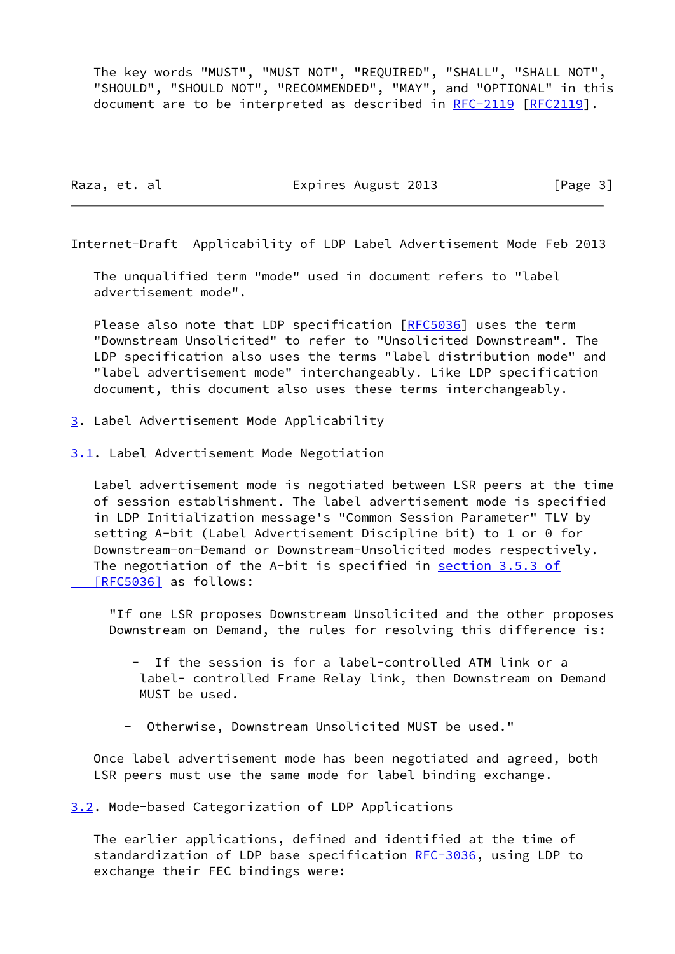The key words "MUST", "MUST NOT", "REQUIRED", "SHALL", "SHALL NOT", "SHOULD", "SHOULD NOT", "RECOMMENDED", "MAY", and "OPTIONAL" in this document are to be interpreted as described in [RFC-2119 \[RFC2119](https://datatracker.ietf.org/doc/pdf/rfc2119)].

Raza, et. al Expires August 2013 [Page 3]

Internet-Draft Applicability of LDP Label Advertisement Mode Feb 2013

 The unqualified term "mode" used in document refers to "label advertisement mode".

Please also note that LDP specification [\[RFC5036](https://datatracker.ietf.org/doc/pdf/rfc5036)] uses the term "Downstream Unsolicited" to refer to "Unsolicited Downstream". The LDP specification also uses the terms "label distribution mode" and "label advertisement mode" interchangeably. Like LDP specification document, this document also uses these terms interchangeably.

- <span id="page-3-0"></span>[3](#page-3-0). Label Advertisement Mode Applicability
- <span id="page-3-1"></span>[3.1](#page-3-1). Label Advertisement Mode Negotiation

 Label advertisement mode is negotiated between LSR peers at the time of session establishment. The label advertisement mode is specified in LDP Initialization message's "Common Session Parameter" TLV by setting A-bit (Label Advertisement Discipline bit) to 1 or 0 for Downstream-on-Demand or Downstream-Unsolicited modes respectively. The negotiation of the A-bit is specified in section [3.5.3 of](https://datatracker.ietf.org/doc/pdf/rfc5036#section-3.5.3)  [\[RFC5036\]](https://datatracker.ietf.org/doc/pdf/rfc5036#section-3.5.3) as follows:

 "If one LSR proposes Downstream Unsolicited and the other proposes Downstream on Demand, the rules for resolving this difference is:

 - If the session is for a label-controlled ATM link or a label- controlled Frame Relay link, then Downstream on Demand MUST be used.

- Otherwise, Downstream Unsolicited MUST be used."

 Once label advertisement mode has been negotiated and agreed, both LSR peers must use the same mode for label binding exchange.

<span id="page-3-2"></span>[3.2](#page-3-2). Mode-based Categorization of LDP Applications

 The earlier applications, defined and identified at the time of standardization of LDP base specification [RFC-3036](https://datatracker.ietf.org/doc/pdf/rfc3036), using LDP to exchange their FEC bindings were: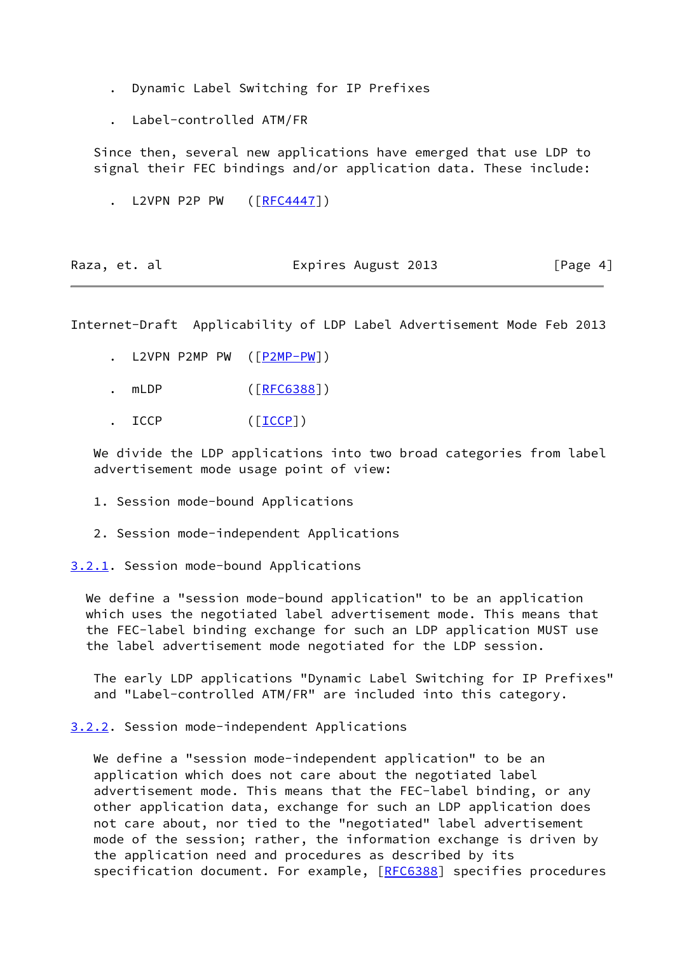- . Dynamic Label Switching for IP Prefixes
- . Label-controlled ATM/FR

 Since then, several new applications have emerged that use LDP to signal their FEC bindings and/or application data. These include:

L2VPN P2P PW ([\[RFC4447](https://datatracker.ietf.org/doc/pdf/rfc4447)])

| Raza, et. al | Expires August 2013 | [Page 4] |
|--------------|---------------------|----------|
|--------------|---------------------|----------|

Internet-Draft Applicability of LDP Label Advertisement Mode Feb 2013

- . L2VPN P2MP PW  $([P2MP-PW])$  $([P2MP-PW])$  $([P2MP-PW])$
- . mLDP ( $[RFC6388])$  $[RFC6388])$
- ICCP ([<u>ICCP]</u>)

We divide the LDP applications into two broad categories from label advertisement mode usage point of view:

- 1. Session mode-bound Applications
- 2. Session mode-independent Applications

<span id="page-4-0"></span>[3.2.1](#page-4-0). Session mode-bound Applications

 We define a "session mode-bound application" to be an application which uses the negotiated label advertisement mode. This means that the FEC-label binding exchange for such an LDP application MUST use the label advertisement mode negotiated for the LDP session.

 The early LDP applications "Dynamic Label Switching for IP Prefixes" and "Label-controlled ATM/FR" are included into this category.

<span id="page-4-1"></span>[3.2.2](#page-4-1). Session mode-independent Applications

 We define a "session mode-independent application" to be an application which does not care about the negotiated label advertisement mode. This means that the FEC-label binding, or any other application data, exchange for such an LDP application does not care about, nor tied to the "negotiated" label advertisement mode of the session; rather, the information exchange is driven by the application need and procedures as described by its specification document. For example, [\[RFC6388](https://datatracker.ietf.org/doc/pdf/rfc6388)] specifies procedures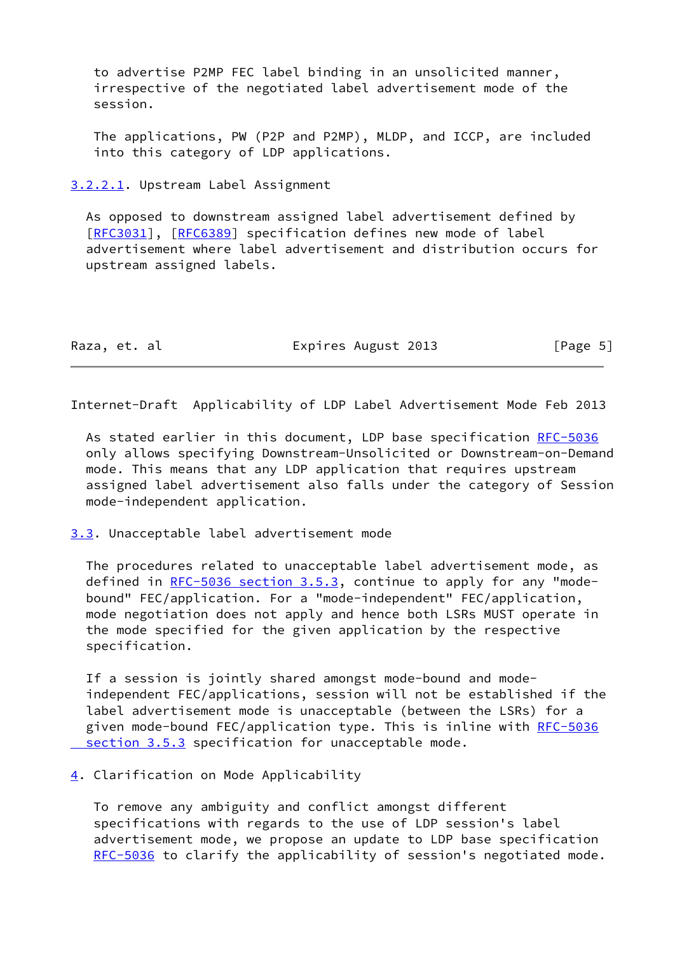to advertise P2MP FEC label binding in an unsolicited manner, irrespective of the negotiated label advertisement mode of the session.

 The applications, PW (P2P and P2MP), MLDP, and ICCP, are included into this category of LDP applications.

<span id="page-5-0"></span>[3.2.2.1](#page-5-0). Upstream Label Assignment

 As opposed to downstream assigned label advertisement defined by [\[RFC3031](https://datatracker.ietf.org/doc/pdf/rfc3031)], [[RFC6389](https://datatracker.ietf.org/doc/pdf/rfc6389)] specification defines new mode of label advertisement where label advertisement and distribution occurs for upstream assigned labels.

| Raza, et. al | Expires August 2013 | [Page 5] |
|--------------|---------------------|----------|
|--------------|---------------------|----------|

Internet-Draft Applicability of LDP Label Advertisement Mode Feb 2013

As stated earlier in this document, LDP base specification [RFC-5036](https://datatracker.ietf.org/doc/pdf/rfc5036) only allows specifying Downstream-Unsolicited or Downstream-on-Demand mode. This means that any LDP application that requires upstream assigned label advertisement also falls under the category of Session mode-independent application.

<span id="page-5-1"></span>[3.3](#page-5-1). Unacceptable label advertisement mode

 The procedures related to unacceptable label advertisement mode, as defined in [RFC-5036 section](https://datatracker.ietf.org/doc/pdf/rfc5036#section-3.5.3) 3.5.3, continue to apply for any "mode bound" FEC/application. For a "mode-independent" FEC/application, mode negotiation does not apply and hence both LSRs MUST operate in the mode specified for the given application by the respective specification.

 If a session is jointly shared amongst mode-bound and mode independent FEC/applications, session will not be established if the label advertisement mode is unacceptable (between the LSRs) for a given mode-bound FEC/application type. This is inline with [RFC-5036](https://datatracker.ietf.org/doc/pdf/rfc5036#section-3.5.3) section 3.5.3 specification for unacceptable mode.

## <span id="page-5-2"></span>[4](#page-5-2). Clarification on Mode Applicability

 To remove any ambiguity and conflict amongst different specifications with regards to the use of LDP session's label advertisement mode, we propose an update to LDP base specification [RFC-5036](https://datatracker.ietf.org/doc/pdf/rfc5036) to clarify the applicability of session's negotiated mode.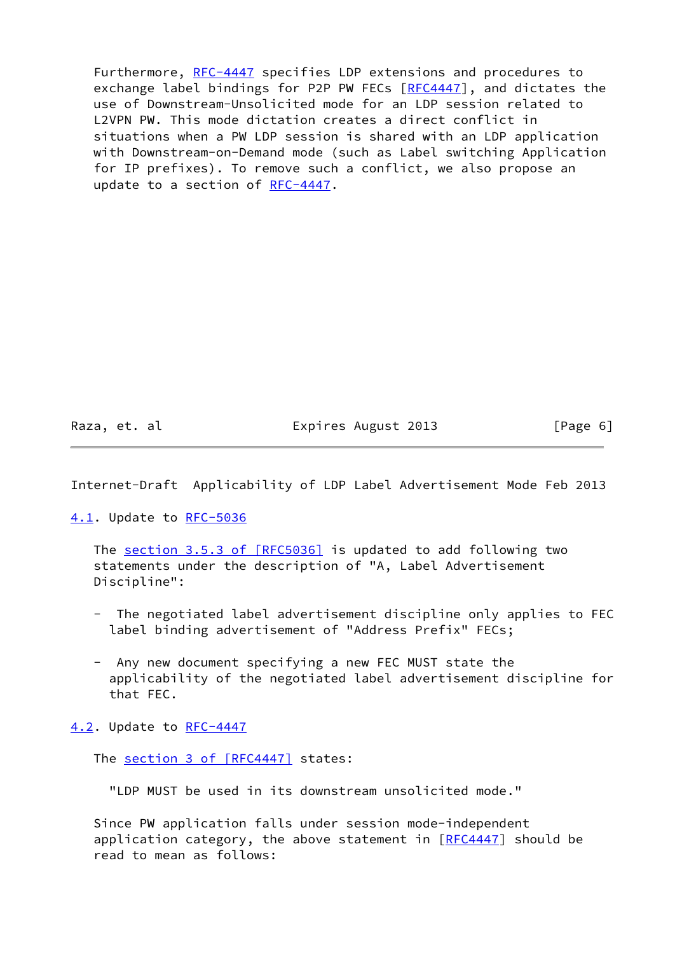Furthermore, [RFC-4447](https://datatracker.ietf.org/doc/pdf/rfc4447) specifies LDP extensions and procedures to exchange label bindings for P2P PW FECs [\[RFC4447](https://datatracker.ietf.org/doc/pdf/rfc4447)], and dictates the use of Downstream-Unsolicited mode for an LDP session related to L2VPN PW. This mode dictation creates a direct conflict in situations when a PW LDP session is shared with an LDP application with Downstream-on-Demand mode (such as Label switching Application for IP prefixes). To remove such a conflict, we also propose an update to a section of [RFC-4447.](https://datatracker.ietf.org/doc/pdf/rfc4447)

Raza, et. al **Expires August 2013** [Page 6]

Internet-Draft Applicability of LDP Label Advertisement Mode Feb 2013

<span id="page-6-0"></span>[4.1](#page-6-0). Update to [RFC-5036](https://datatracker.ietf.org/doc/pdf/rfc5036)

The section [3.5.3 of \[RFC5036\]](https://datatracker.ietf.org/doc/pdf/rfc5036#section-3.5.3) is updated to add following two statements under the description of "A, Label Advertisement Discipline":

- The negotiated label advertisement discipline only applies to FEC label binding advertisement of "Address Prefix" FECs;
- Any new document specifying a new FEC MUST state the applicability of the negotiated label advertisement discipline for that FEC.

<span id="page-6-1"></span>[4.2](#page-6-1). Update to [RFC-4447](https://datatracker.ietf.org/doc/pdf/rfc4447)

The section [3 of \[RFC4447\]](https://datatracker.ietf.org/doc/pdf/rfc4447#section-3) states:

"LDP MUST be used in its downstream unsolicited mode."

 Since PW application falls under session mode-independent application category, the above statement in  $[REC4447]$  should be read to mean as follows: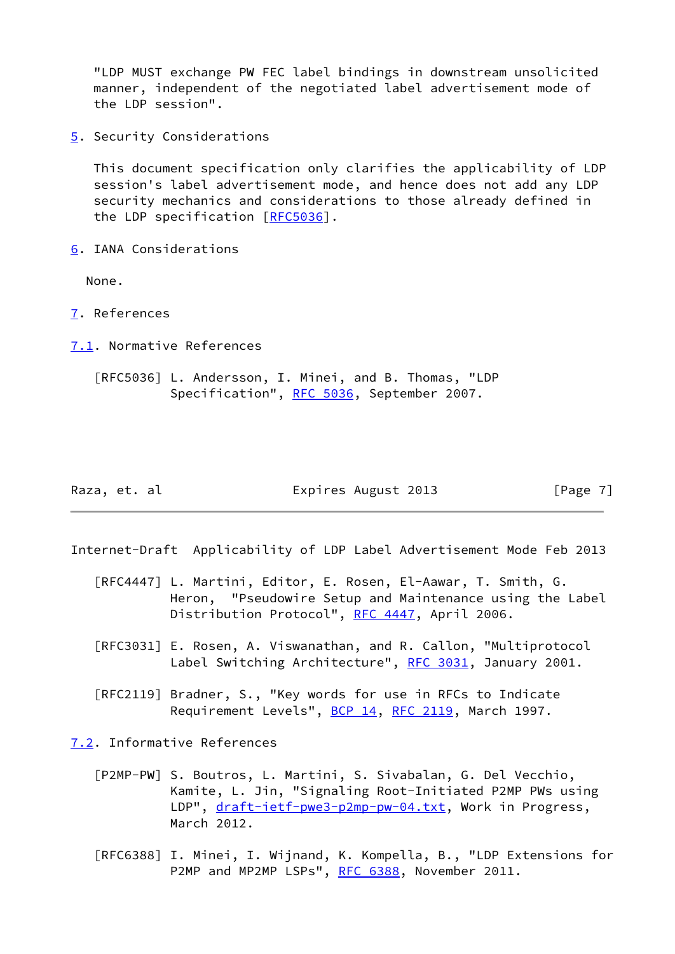"LDP MUST exchange PW FEC label bindings in downstream unsolicited manner, independent of the negotiated label advertisement mode of the LDP session".

<span id="page-7-1"></span>[5](#page-7-1). Security Considerations

 This document specification only clarifies the applicability of LDP session's label advertisement mode, and hence does not add any LDP security mechanics and considerations to those already defined in the LDP specification [[RFC5036](https://datatracker.ietf.org/doc/pdf/rfc5036)].

<span id="page-7-2"></span>[6](#page-7-2). IANA Considerations

None.

- <span id="page-7-3"></span>[7](#page-7-3). References
- <span id="page-7-4"></span>[7.1](#page-7-4). Normative References
	- [RFC5036] L. Andersson, I. Minei, and B. Thomas, "LDP Specification", [RFC 5036](https://datatracker.ietf.org/doc/pdf/rfc5036), September 2007.

Raza, et. al Expires August 2013 [Page 7]

- Internet-Draft Applicability of LDP Label Advertisement Mode Feb 2013
	- [RFC4447] L. Martini, Editor, E. Rosen, El-Aawar, T. Smith, G. Heron, "Pseudowire Setup and Maintenance using the Label Distribution Protocol", [RFC 4447](https://datatracker.ietf.org/doc/pdf/rfc4447), April 2006.
	- [RFC3031] E. Rosen, A. Viswanathan, and R. Callon, "Multiprotocol Label Switching Architecture", [RFC 3031](https://datatracker.ietf.org/doc/pdf/rfc3031), January 2001.
	- [RFC2119] Bradner, S., "Key words for use in RFCs to Indicate Requirement Levels", [BCP 14](https://datatracker.ietf.org/doc/pdf/bcp14), [RFC 2119,](https://datatracker.ietf.org/doc/pdf/rfc2119) March 1997.

<span id="page-7-5"></span>[7.2](#page-7-5). Informative References

- <span id="page-7-0"></span> [P2MP-PW] S. Boutros, L. Martini, S. Sivabalan, G. Del Vecchio, Kamite, L. Jin, "Signaling Root-Initiated P2MP PWs using LDP", [draft-ietf-pwe3-p2mp-pw-04.txt](https://datatracker.ietf.org/doc/pdf/draft-ietf-pwe3-p2mp-pw-04.txt), Work in Progress, March 2012.
- [RFC6388] I. Minei, I. Wijnand, K. Kompella, B., "LDP Extensions for P2MP and MP2MP LSPs", [RFC 6388](https://datatracker.ietf.org/doc/pdf/rfc6388), November 2011.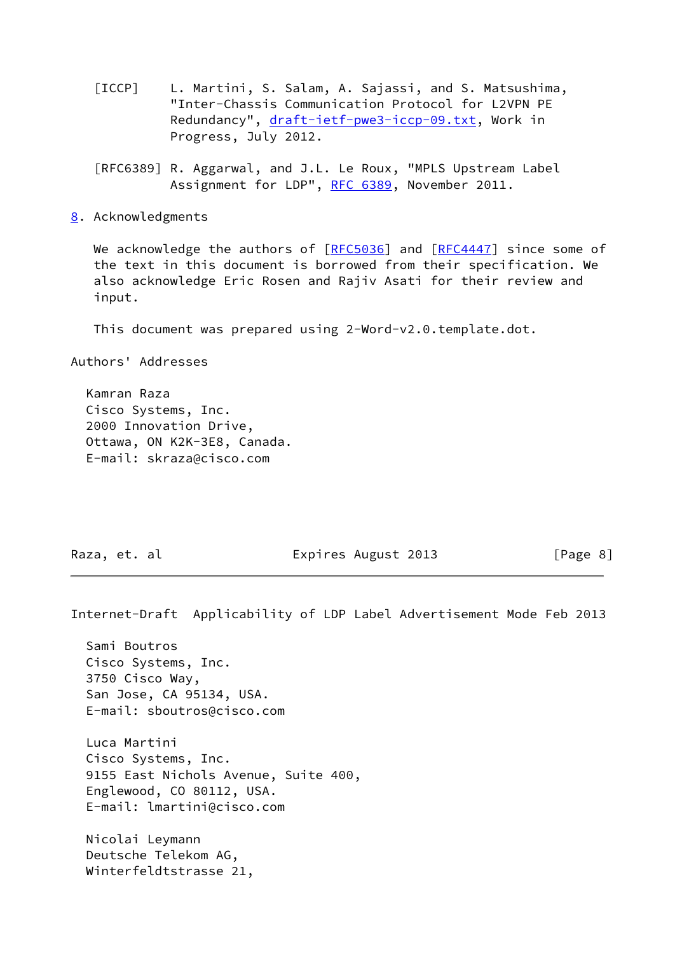- <span id="page-8-0"></span> [ICCP] L. Martini, S. Salam, A. Sajassi, and S. Matsushima, "Inter-Chassis Communication Protocol for L2VPN PE Redundancy", [draft-ietf-pwe3-iccp-09.txt](https://datatracker.ietf.org/doc/pdf/draft-ietf-pwe3-iccp-09.txt), Work in Progress, July 2012.
- [RFC6389] R. Aggarwal, and J.L. Le Roux, "MPLS Upstream Label Assignment for LDP", [RFC 6389,](https://datatracker.ietf.org/doc/pdf/rfc6389) November 2011.
- <span id="page-8-1"></span>[8](#page-8-1). Acknowledgments

We acknowledge the authors of  $[REC5036]$  and  $[REC4447]$  since some of the text in this document is borrowed from their specification. We also acknowledge Eric Rosen and Rajiv Asati for their review and input.

This document was prepared using 2-Word-v2.0.template.dot.

Authors' Addresses

 Kamran Raza Cisco Systems, Inc. 2000 Innovation Drive, Ottawa, ON K2K-3E8, Canada. E-mail: skraza@cisco.com

Raza, et. al **Expires August 2013** [Page 8]

Internet-Draft Applicability of LDP Label Advertisement Mode Feb 2013

 Sami Boutros Cisco Systems, Inc. 3750 Cisco Way, San Jose, CA 95134, USA. E-mail: sboutros@cisco.com

 Luca Martini Cisco Systems, Inc. 9155 East Nichols Avenue, Suite 400, Englewood, CO 80112, USA. E-mail: lmartini@cisco.com

 Nicolai Leymann Deutsche Telekom AG, Winterfeldtstrasse 21,